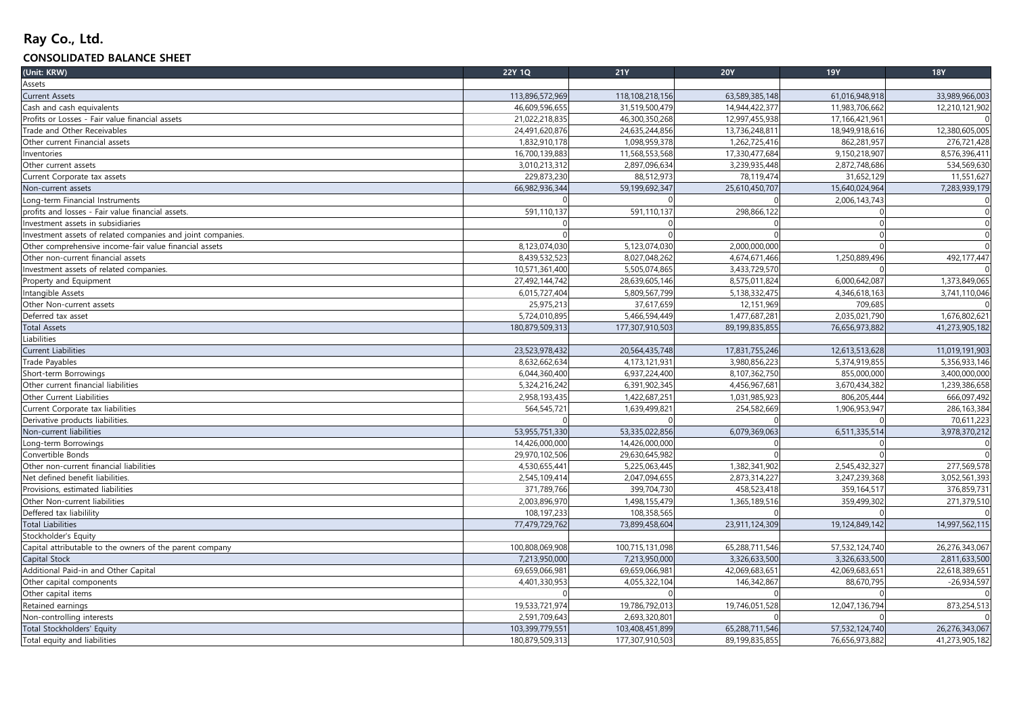## **Ray Co., Ltd.**

## **CONSOLIDATED BALANCE SHEET**

| (Unit: KRW)                                                 | <b>22Y 1Q</b>   | <b>21Y</b>      | <b>20Y</b>     | <b>19Y</b>     | <b>18Y</b>     |
|-------------------------------------------------------------|-----------------|-----------------|----------------|----------------|----------------|
| Assets                                                      |                 |                 |                |                |                |
| <b>Current Assets</b>                                       | 113,896,572,969 | 118,108,218,156 | 63,589,385,148 | 61,016,948,918 | 33,989,966,003 |
| Cash and cash equivalents                                   | 46,609,596,655  | 31,519,500,479  | 14,944,422,377 | 11,983,706,662 | 12,210,121,902 |
| Profits or Losses - Fair value financial assets             | 21,022,218,835  | 46,300,350,268  | 12,997,455,938 | 17,166,421,961 | $\Omega$       |
| Trade and Other Receivables                                 | 24,491,620,876  | 24,635,244,856  | 13,736,248,811 | 18,949,918,616 | 12,380,605,005 |
| Other current Financial assets                              | 1,832,910,178   | 1,098,959,378   | 1,262,725,416  | 862,281,957    | 276,721,428    |
| Inventories                                                 | 16,700,139,883  | 11,568,553,568  | 17,330,477,684 | 9,150,218,907  | 8,576,396,411  |
| Other current assets                                        | 3,010,213,312   | 2,897,096,634   | 3,239,935,448  | 2,872,748,686  | 534,569,630    |
| Current Corporate tax assets                                | 229,873,230     | 88,512,973      | 78,119,474     | 31,652,129     | 11,551,627     |
| Non-current assets                                          | 66,982,936,344  | 59,199,692,347  | 25,610,450,707 | 15,640,024,964 | 7,283,939,179  |
| Long-term Financial Instruments                             |                 |                 |                | 2,006,143,743  |                |
| profits and losses - Fair value financial assets.           | 591,110,137     | 591,110,137     | 298,866,122    |                | $\Omega$       |
| Investment assets in subsidiaries                           |                 | $\Omega$        |                |                | $\Omega$       |
| Investment assets of related companies and joint companies. |                 | $\Omega$        |                | $\Omega$       | $\overline{0}$ |
| Other comprehensive income-fair value financial assets      | 8,123,074,030   | 5,123,074,030   | 2,000,000,000  |                | $\Omega$       |
| Other non-current financial assets                          | 8,439,532,523   | 8,027,048,262   | 4,674,671,466  | 1,250,889,496  | 492,177,447    |
| Investment assets of related companies.                     | 10,571,361,400  | 5,505,074,865   | 3,433,729,570  |                |                |
| Property and Equipment                                      | 27,492,144,742  | 28,639,605,146  | 8,575,011,824  | 6,000,642,087  | 1,373,849,065  |
| Intangible Assets                                           | 6,015,727,404   | 5,809,567,799   | 5,138,332,475  | 4,346,618,163  | 3,741,110,046  |
| Other Non-current assets                                    | 25,975,213      | 37,617,659      | 12,151,969     | 709,685        |                |
| Deferred tax asset                                          | 5,724,010,895   | 5,466,594,449   | 1,477,687,281  | 2,035,021,790  | 1,676,802,621  |
| <b>Total Assets</b>                                         | 180,879,509,313 | 177,307,910,503 | 89,199,835,855 | 76,656,973,882 | 41,273,905,182 |
| Liabilities                                                 |                 |                 |                |                |                |
| Current Liabilities                                         | 23,523,978,432  | 20,564,435,748  | 17,831,755,246 | 12,613,513,628 | 11,019,191,903 |
| <b>Trade Payables</b>                                       | 8,632,662,634   | 4,173,121,931   | 3,980,856,223  | 5,374,919,855  | 5,356,933,146  |
| Short-term Borrowings                                       | 6,044,360,400   | 6,937,224,400   | 8,107,362,750  | 855,000,000    | 3,400,000,000  |
| Other current financial liabilities                         | 5,324,216,242   | 6,391,902,345   | 4,456,967,681  | 3,670,434,382  | 1,239,386,658  |
| Other Current Liabilities                                   | 2,958,193,435   | 1,422,687,251   | 1,031,985,923  | 806,205,444    | 666,097,492    |
| Current Corporate tax liabilities                           | 564,545,721     | 1,639,499,821   | 254,582,669    | 1,906,953,947  | 286,163,384    |
| Derivative products liabilities.                            |                 |                 |                |                | 70,611,223     |
| Non-current liabilities                                     | 53,955,751,330  | 53,335,022,856  | 6,079,369,063  | 6,511,335,514  | 3,978,370,212  |
| Long-term Borrowings                                        | 14,426,000,000  | 14,426,000,000  |                |                | $\Omega$       |
| Convertible Bonds                                           | 29,970,102,506  | 29,630,645,982  |                |                |                |
| Other non-current financial liabilities                     | 4,530,655,441   | 5,225,063,445   | 1,382,341,902  | 2,545,432,327  | 277,569,578    |
| Net defined benefit liabilities.                            | 2,545,109,414   | 2,047,094,655   | 2,873,314,227  | 3,247,239,368  | 3,052,561,393  |
| Provisions, estimated liabilities                           | 371,789,766     | 399,704,730     | 458,523,418    | 359,164,517    | 376,859,731    |
| Other Non-current liabilities                               | 2,003,896,970   | 1,498,155,479   | 1,365,189,516  | 359,499,302    | 271,379,510    |
| Deffered tax liabilility                                    | 108,197,233     | 108,358,565     |                |                |                |
| <b>Total Liabilities</b>                                    | 77,479,729,762  | 73,899,458,604  | 23,911,124,309 | 19,124,849,142 | 14,997,562,115 |
| Stockholder's Equity                                        |                 |                 |                |                |                |
| Capital attributable to the owners of the parent company    | 100,808,069,908 | 100,715,131,098 | 65,288,711,546 | 57,532,124,740 | 26,276,343,067 |
| Capital Stock                                               | 7,213,950,000   | 7,213,950,000   | 3,326,633,500  | 3,326,633,500  | 2,811,633,500  |
| Additional Paid-in and Other Capital                        | 69,659,066,981  | 69,659,066,981  | 42,069,683,651 | 42,069,683,651 | 22,618,389,651 |
| Other capital components                                    | 4,401,330,953   | 4,055,322,104   | 146,342,867    | 88,670,795     | $-26,934,597$  |
| Other capital items                                         |                 |                 |                |                |                |
| Retained earnings                                           | 19,533,721,974  | 19,786,792,013  | 19,746,051,528 | 12,047,136,794 | 873,254,513    |
| Non-controlling interests                                   | 2,591,709,643   | 2,693,320,801   |                |                |                |
| Total Stockholders' Equity                                  | 103,399,779,551 | 103,408,451,899 | 65,288,711,546 | 57,532,124,740 | 26,276,343,067 |
|                                                             |                 |                 |                |                |                |
| Total equity and liabilities                                | 180,879,509,313 | 177,307,910,503 | 89,199,835,855 | 76,656,973,882 | 41,273,905,182 |